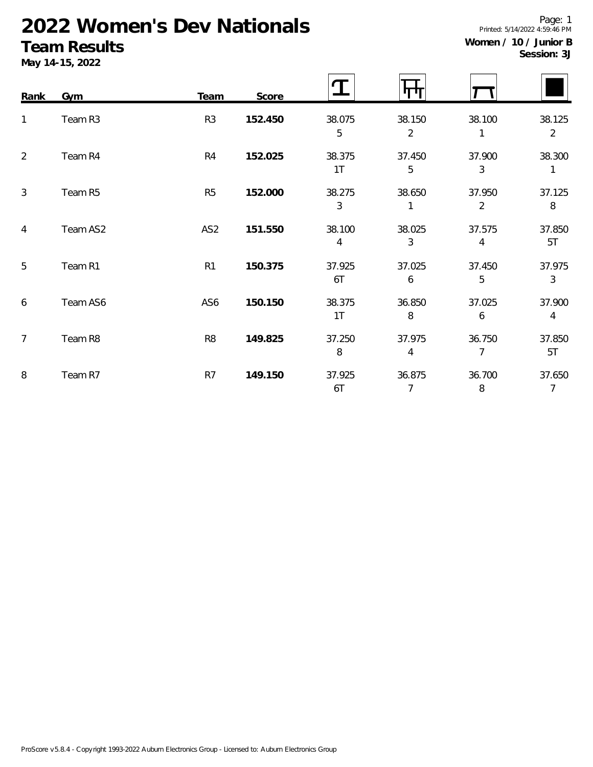# **2022 Women's Dev Nationals**

### **Team Results**

**May 14-15, 2022**

| Rank           | Gym      | <b>Team</b>     | Score   |              |                          |                          |                          |
|----------------|----------|-----------------|---------|--------------|--------------------------|--------------------------|--------------------------|
| $\mathbf{1}$   | Team R3  | R <sub>3</sub>  | 152.450 | 38.075<br>5  | 38.150<br>$\overline{2}$ | 38.100<br>1              | 38.125<br>$\overline{2}$ |
| 2              | Team R4  | R <sub>4</sub>  | 152.025 | 38.375<br>1T | 37.450<br>5              | 37.900<br>3              | 38.300<br>$\mathbf{1}$   |
| 3              | Team R5  | R <sub>5</sub>  | 152.000 | 38.275<br>3  | 38.650                   | 37.950<br>$\overline{2}$ | 37.125<br>8              |
| 4              | Team AS2 | AS <sub>2</sub> | 151.550 | 38.100<br>4  | 38.025<br>3              | 37.575<br>4              | 37.850<br>5T             |
| 5              | Team R1  | R1              | 150.375 | 37.925<br>6T | 37.025<br>6              | 37.450<br>5              | 37.975<br>$\mathfrak{Z}$ |
| 6              | Team AS6 | AS6             | 150.150 | 38.375<br>1T | 36.850<br>8              | 37.025<br>6              | 37.900<br>$\overline{4}$ |
| $\overline{7}$ | Team R8  | R <sub>8</sub>  | 149.825 | 37.250<br>8  | 37.975<br>4              | 36.750<br>$\overline{7}$ | 37.850<br>5T             |
| 8              | Team R7  | R7              | 149.150 | 37.925<br>6T | 36.875<br>7              | 36.700<br>8              | 37.650<br>$\overline{7}$ |

Page: 1 Printed: 5/14/2022 4:59:46 PM **Women / 10 / Junior B**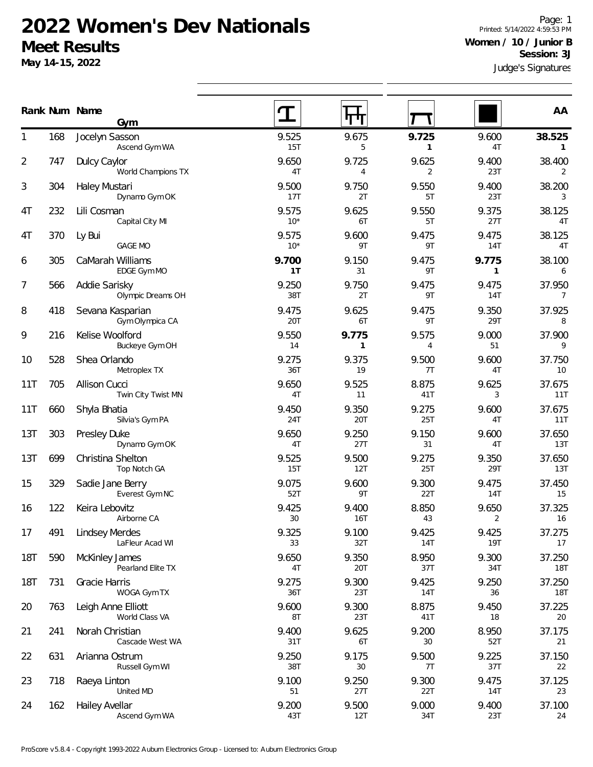#### **2022 Women's Dev Nationals Meet Results**

**Gym**

Ascend Gym WA

**May 14-15, 2022**

Judge's Signatures Page: 1 Printed: 5/14/2022 4:59:53 PM **Women / 10 / Junior B Session: 3J**

|                |     | Ascend Gym WA                       | 15T            | 5            |              | 4T           | $\mathbf{1}$             |
|----------------|-----|-------------------------------------|----------------|--------------|--------------|--------------|--------------------------|
| $\overline{2}$ | 747 | Dulcy Caylor<br>World Champions TX  | 9.650<br>4T    | 9.725<br>4   | 9.625<br>2   | 9.400<br>23T | 38.400<br>2              |
| 3              | 304 | Haley Mustari<br>Dynamo Gym OK      | 9.500<br>17T   | 9.750<br>2T  | 9.550<br>5T  | 9.400<br>23T | 38.200<br>3              |
| 4T             | 232 | Lili Cosman<br>Capital City MI      | 9.575<br>$10*$ | 9.625<br>6T  | 9.550<br>5T  | 9.375<br>27T | 38.125<br>4T             |
| 4T             | 370 | Ly Bui<br><b>GAGE MO</b>            | 9.575<br>$10*$ | 9.600<br>9T  | 9.475<br>9T  | 9.475<br>14T | 38.125<br>4T             |
| 6              | 305 | CaMarah Williams<br>EDGE Gym MO     | 9.700<br>1T    | 9.150<br>31  | 9.475<br>9T  | 9.775        | 38.100<br>6              |
| 7              | 566 | Addie Sarisky<br>Olympic Dreams OH  | 9.250<br>38T   | 9.750<br>2T  | 9.475<br>9T  | 9.475<br>14T | 37.950<br>$\overline{7}$ |
| 8              | 418 | Sevana Kasparian<br>Gym Olympica CA | 9.475<br>20T   | 9.625<br>6T  | 9.475<br>9T  | 9.350<br>29T | 37.925<br>8              |
| 9              | 216 | Kelise Woolford<br>Buckeye Gym OH   | 9.550<br>14    | 9.775<br>1   | 9.575<br>4   | 9.000<br>51  | 37.900<br>9              |
| 10             | 528 | Shea Orlando<br>Metroplex TX        | 9.275<br>36T   | 9.375<br>19  | 9.500<br>7T  | 9.600<br>4T  | 37.750<br>10             |
| 11T            | 705 | Allison Cucci<br>Twin City Twist MN | 9.650<br>4T    | 9.525<br>11  | 8.875<br>41T | 9.625<br>3   | 37.675<br>11T            |
| 11T            | 660 | Shyla Bhatia<br>Silvia's Gym PA     | 9.450<br>24T   | 9.350<br>20T | 9.275<br>25T | 9.600<br>4T  | 37.675<br><b>11T</b>     |
| 13T            | 303 | Presley Duke<br>Dynamo Gym OK       | 9.650<br>4T    | 9.250<br>27T | 9.150<br>31  | 9.600<br>4T  | 37.650<br>13T            |
| 13T            | 699 | Christina Shelton<br>Top Notch GA   | 9.525<br>15T   | 9.500<br>12T | 9.275<br>25T | 9.350<br>29T | 37.650<br><b>13T</b>     |
| 15             | 329 | Sadie Jane Berry                    | 9.075          | 9.600        | 9.300        | 9.475        | 37.450                   |

|            |     | World Champions TX                       | 4T             | 4                     | 2                   | 23T                     | $\overline{2}$           |
|------------|-----|------------------------------------------|----------------|-----------------------|---------------------|-------------------------|--------------------------|
| 3          | 304 | Haley Mustari<br>Dynamo Gym OK           | 9.500<br>17T   | 9.750<br>2T           | 9.550<br>5T         | 9.400<br>23T            | 38.200<br>3              |
| 4T         | 232 | Lili Cosman<br>Capital City MI           | 9.575<br>$10*$ | 9.625<br>6T           | 9.550<br>5T         | 9.375<br>27T            | 38.125<br>4T             |
| 4T         | 370 | Ly Bui<br><b>GAGE MO</b>                 | 9.575<br>$10*$ | 9.600<br>9T           | 9.475<br>9T         | 9.475<br><b>14T</b>     | 38.125<br>4T             |
| 6          | 305 | CaMarah Williams<br>EDGE Gym MO          | 9.700<br>1T    | 9.150<br>31           | 9.475<br>9T         | 9.775<br>$\mathbf{1}$   | 38.100<br>6              |
| 7          | 566 | Addie Sarisky<br>Olympic Dreams OH       | 9.250<br>38T   | 9.750<br>2T           | 9.475<br>9T         | 9.475<br><b>14T</b>     | 37.950<br>$\overline{7}$ |
| 8          | 418 | Sevana Kasparian<br>Gym Olympica CA      | 9.475<br>20T   | 9.625<br>6T           | 9.475<br>9T         | 9.350<br>29T            | 37.925<br>8              |
| 9          | 216 | Kelise Woolford<br>Buckeye Gym OH        | 9.550<br>14    | 9.775<br>$\mathbf{1}$ | 9.575<br>4          | 9.000<br>51             | 37.900<br>9              |
| 10         | 528 | Shea Orlando<br>Metroplex TX             | 9.275<br>36T   | 9.375<br>19           | 9.500<br>7T         | 9.600<br>4T             | 37.750<br>10             |
| 11T        | 705 | Allison Cucci<br>Twin City Twist MN      | 9.650<br>4T    | 9.525<br>11           | 8.875<br>41T        | 9.625<br>3              | 37.675<br>11T            |
| 11T        | 660 | Shyla Bhatia<br>Silvia's Gym PA          | 9.450<br>24T   | 9.350<br>20T          | 9.275<br>25T        | 9.600<br>4T             | 37.675<br>11T            |
| 13T        | 303 | Presley Duke<br>Dynamo Gym OK            | 9.650<br>4T    | 9.250<br>27T          | 9.150<br>31         | 9.600<br>4T             | 37.650<br>13T            |
| 13T        | 699 | Christina Shelton<br>Top Notch GA        | 9.525<br>15T   | 9.500<br>12T          | 9.275<br>25T        | 9.350<br>29T            | 37.650<br>13T            |
| 15         | 329 | Sadie Jane Berry<br>Everest Gym NC       | 9.075<br>52T   | 9.600<br>9T           | 9.300<br>22T        | 9.475<br>14T            | 37.450<br>15             |
| 16         | 122 | Keira Lebovitz<br>Airborne CA            | 9.425<br>30    | 9.400<br><b>16T</b>   | 8.850<br>43         | 9.650<br>$\overline{2}$ | 37.325<br>16             |
| 17         | 491 | <b>Lindsey Merdes</b><br>LaFleur Acad WI | 9.325<br>33    | 9.100<br>32T          | 9.425<br><b>14T</b> | 9.425<br><b>19T</b>     | 37.275<br>17             |
| <b>18T</b> | 590 | McKinley James<br>Pearland Elite TX      | 9.650<br>4T    | 9.350<br>20T          | 8.950<br>37T        | 9.300<br>34T            | 37.250<br>18T            |
| <b>18T</b> | 731 | Gracie Harris<br>WOGA Gym TX             | 9.275<br>36T   | 9.300<br>23T          | 9.425<br><b>14T</b> | 9.250<br>36             | 37.250<br><b>18T</b>     |
| 20         | 763 | Leigh Anne Elliott<br>World Class VA     | 9.600<br>8T    | 9.300<br>23T          | 8.875<br>41T        | 9.450<br>18             | 37.225<br>20             |
| 21         | 241 | Norah Christian<br>Cascade West WA       | 9.400<br>31T   | 9.625<br>6T           | 9.200<br>30         | 8.950<br>52T            | 37.175<br>21             |
| 22         | 631 | Arianna Ostrum<br>Russell Gym WI         | 9.250<br>38T   | 9.175<br>30           | 9.500<br>7T         | 9.225<br>37T            | 37.150<br>22             |
| 23         | 718 | Raeya Linton<br>United MD                | 9.100<br>51    | 9.250<br>27T          | 9.300<br>22T        | 9.475<br>14T            | 37.125<br>23             |
| 24         | 162 | Hailey Avellar<br>Ascend Gym WA          | 9.200<br>43T   | 9.500<br>12T          | 9.000<br>34T        | 9.400<br>23T            | 37.100<br>24             |
|            |     |                                          |                |                       |                     |                         |                          |

**Num Name Rank AA**

168 Jocelyn Sasson 1 9.525 9.675 **9.725** 9.600 **38.525**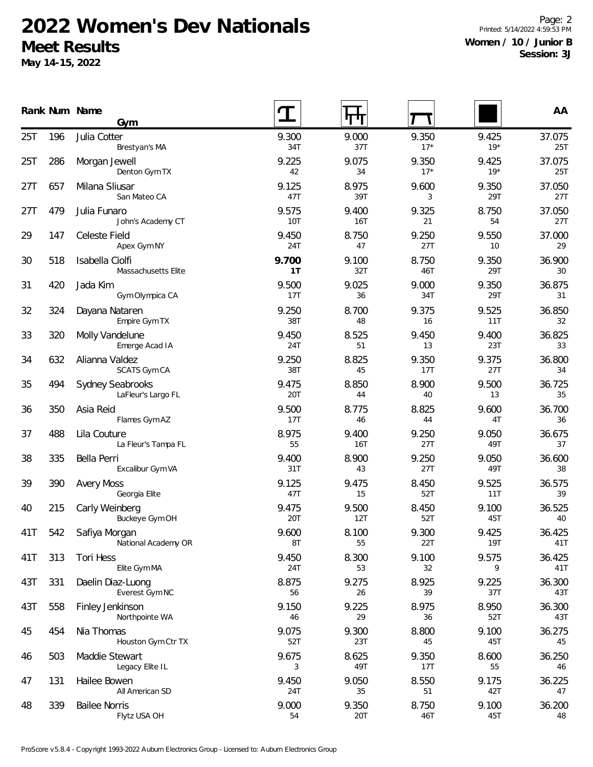## **2022 Women's Dev Nationals Meet Results**

**May 14-15, 2022**

Page: 2 Printed: 5/14/2022 4:59:53 PM **Women / 10 / Junior B Session: 3J**

|     |     | Rank Num Name<br>Gym                          |              | पाप          |                |                | AA            |
|-----|-----|-----------------------------------------------|--------------|--------------|----------------|----------------|---------------|
| 25T | 196 | Julia Cotter<br>Brestyan's MA                 | 9.300<br>34T | 9.000<br>37T | 9.350<br>$17*$ | 9.425<br>$19*$ | 37.075<br>25T |
| 25T | 286 | Morgan Jewell<br>Denton Gym TX                | 9.225<br>42  | 9.075<br>34  | 9.350<br>$17*$ | 9.425<br>$19*$ | 37.075<br>25T |
| 27T | 657 | Milana Sliusar<br>San Mateo CA                | 9.125<br>47T | 8.975<br>39T | 9.600<br>3     | 9.350<br>29T   | 37.050<br>27T |
| 27T | 479 | Julia Funaro<br>John's Academy CT             | 9.575<br>10T | 9.400<br>16T | 9.325<br>21    | 8.750<br>54    | 37.050<br>27T |
| 29  | 147 | Celeste Field<br>Apex Gym NY                  | 9.450<br>24T | 8.750<br>47  | 9.250<br>27T   | 9.550<br>10    | 37.000<br>29  |
| 30  | 518 | Isabella Ciolfi<br>Massachusetts Elite        | 9.700<br>1T  | 9.100<br>32T | 8.750<br>46T   | 9.350<br>29T   | 36.900<br>30  |
| 31  | 420 | Jada Kim<br>Gym Olympica CA                   | 9.500<br>17T | 9.025<br>36  | 9.000<br>34T   | 9.350<br>29T   | 36.875<br>31  |
| 32  | 324 | Dayana Nataren<br>Empire Gym TX               | 9.250<br>38T | 8.700<br>48  | 9.375<br>16    | 9.525<br>11T   | 36.850<br>32  |
| 33  | 320 | Molly Vandelune<br>Emerge Acad IA             | 9.450<br>24T | 8.525<br>51  | 9.450<br>13    | 9.400<br>23T   | 36.825<br>33  |
| 34  | 632 | Alianna Valdez<br>SCATS Gym CA                | 9.250<br>38T | 8.825<br>45  | 9.350<br>17T   | 9.375<br>27T   | 36.800<br>34  |
| 35  | 494 | <b>Sydney Seabrooks</b><br>LaFleur's Largo FL | 9.475<br>20T | 8.850<br>44  | 8.900<br>40    | 9.500<br>13    | 36.725<br>35  |
| 36  | 350 | Asia Reid<br>Flames Gym AZ                    | 9.500<br>17T | 8.775<br>46  | 8.825<br>44    | 9.600<br>4T    | 36.700<br>36  |
| 37  | 488 | Lila Couture<br>La Fleur's Tampa FL           | 8.975<br>55  | 9.400<br>16T | 9.250<br>27T   | 9.050<br>49T   | 36.675<br>37  |
| 38  | 335 | Bella Perri<br>Excalibur Gym VA               | 9.400<br>31T | 8.900<br>43  | 9.250<br>27T   | 9.050<br>49T   | 36.600<br>38  |
| 39  | 390 | <b>Avery Moss</b><br>Georgia Elite            | 9.125<br>47T | 9.475<br>15  | 8.450<br>52T   | 9.525<br>11T   | 36.575<br>39  |
| 40  | 215 | Carly Weinberg<br>Buckeye Gym OH              | 9.475<br>20T | 9.500<br>12T | 8.450<br>52T   | 9.100<br>45T   | 36.525<br>40  |
| 41T | 542 | Safiya Morgan<br>National Academy OR          | 9.600<br>8T  | 8.100<br>55  | 9.300<br>22T   | 9.425<br>19T   | 36.425<br>41T |
| 41T | 313 | Tori Hess<br>Elite Gym MA                     | 9.450<br>24T | 8.300<br>53  | 9.100<br>32    | 9.575<br>9     | 36.425<br>41T |
| 43T | 331 | Daelin Diaz-Luong<br>Everest Gym NC           | 8.875<br>56  | 9.275<br>26  | 8.925<br>39    | 9.225<br>37T   | 36.300<br>43T |
| 43T | 558 | Finley Jenkinson<br>Northpointe WA            | 9.150<br>46  | 9.225<br>29  | 8.975<br>36    | 8.950<br>52T   | 36.300<br>43T |
| 45  | 454 | Nia Thomas<br>Houston Gym Ctr TX              | 9.075<br>52T | 9.300<br>23T | 8.800<br>45    | 9.100<br>45T   | 36.275<br>45  |
| 46  | 503 | Maddie Stewart<br>Legacy Elite IL             | 9.675<br>3   | 8.625<br>49T | 9.350<br>17T   | 8.600<br>55    | 36.250<br>46  |
| 47  | 131 | Hailee Bowen<br>All American SD               | 9.450<br>24T | 9.050<br>35  | 8.550<br>51    | 9.175<br>42T   | 36.225<br>47  |
| 48  | 339 | <b>Bailee Norris</b><br>Flytz USA OH          | 9.000<br>54  | 9.350<br>20T | 8.750<br>46T   | 9.100<br>45T   | 36.200<br>48  |